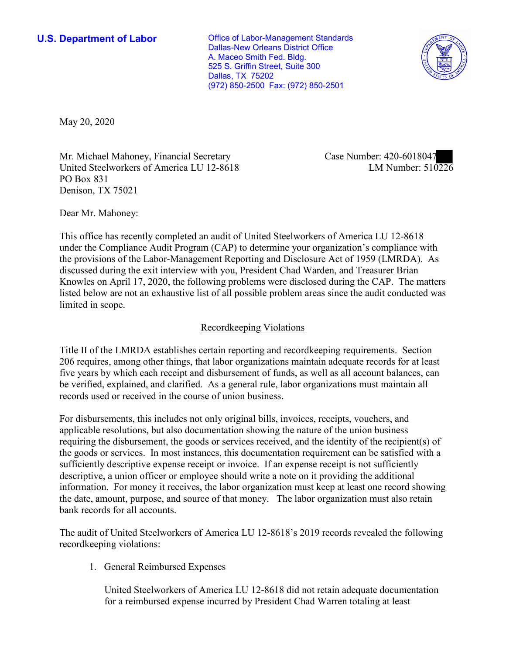**U.S. Department of Labor Conservative Conservative Conservative Conservative U.S.** Department of Labor Dallas-New Orleans District Office A. Maceo Smith Fed. Bldg. 525 S. Griffin Street, Suite 300 Dallas, TX 75202 (972) 850-2500 Fax: (972) 850-2501



May 20, 2020

Mr. Michael Mahoney, Financial Secretary United Steelworkers of America LU 12-8618 PO Box 831 Denison, TX 75021

Case Number: 420-6018047<br>LM Number: 510226

Dear Mr. Mahoney:

 This office has recently completed an audit of United Steelworkers of America LU 12-8618 listed below are not an exhaustive list of all possible problem areas since the audit conducted was under the Compliance Audit Program (CAP) to determine your organization's compliance with the provisions of the Labor-Management Reporting and Disclosure Act of 1959 (LMRDA). As discussed during the exit interview with you, President Chad Warden, and Treasurer Brian Knowles on April 17, 2020, the following problems were disclosed during the CAP. The matters limited in scope.

## Recordkeeping Violations

 Title II of the LMRDA establishes certain reporting and recordkeeping requirements. Section 206 requires, among other things, that labor organizations maintain adequate records for at least five years by which each receipt and disbursement of funds, as well as all account balances, can be verified, explained, and clarified. As a general rule, labor organizations must maintain all records used or received in the course of union business.

For disbursements, this includes not only original bills, invoices, receipts, vouchers, and applicable resolutions, but also documentation showing the nature of the union business requiring the disbursement, the goods or services received, and the identity of the recipient(s) of the goods or services. In most instances, this documentation requirement can be satisfied with a sufficiently descriptive expense receipt or invoice. If an expense receipt is not sufficiently descriptive, a union officer or employee should write a note on it providing the additional information. For money it receives, the labor organization must keep at least one record showing the date, amount, purpose, and source of that money. The labor organization must also retain bank records for all accounts.

 The audit of United Steelworkers of America LU 12-8618's 2019 records revealed the following recordkeeping violations:

1. General Reimbursed Expenses

United Steelworkers of America LU 12-8618 did not retain adequate documentation for a reimbursed expense incurred by President Chad Warren totaling at least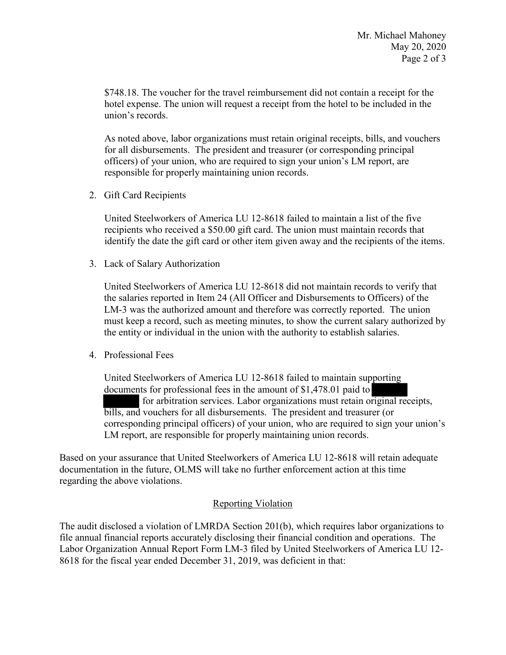\$748.18. The voucher for the travel reimbursement did not contain a receipt for the hotel expense. The union will request a receipt from the hotel to be included in the union's records.

As noted above, labor organizations must retain original receipts, bills, and vouchers for all disbursements. The president and treasurer (or corresponding principal officers) of your union, who are required to sign your union's LM report, are responsible for properly maintaining union records.

2. Gift Card Recipients

United Steelworkers of America LU 12-8618 failed to maintain a list of the five recipients who received a \$50.00 gift card. The union must maintain records that identify the date the gift card or other item given away and the recipients of the items.

3. Lack of Salary Authorization

United Steelworkers of America LU 12-8618 did not maintain records to verify that the salaries reported in Item 24 (All Officer and Disbursements to Officers) of the LM-3 was the authorized amount and therefore was correctly reported. The union must keep a record, such as meeting minutes, to show the current salary authorized by the entity or individual in the union with the authority to establish salaries.

4. Professional Fees

 corresponding principal officers) of your union, who are required to sign your union's Unit<br>docu<br>bills<br>corre porti<br>rigina<br>rer (o LM report, are responsible for properly maintaining union records. United Steelworkers of America LU 12-8618 failed to maintain supporting documents for professional fees in the amount of \$1,478.01 paid to for arbitration services. Labor organizations must retain original receipts, bills, and vouchers for all disbursements. The president and treasurer (or

Based on your assurance that United Steelworkers of America LU 12-8618 will retain adequate documentation in the future, OLMS will take no further enforcement action at this time regarding the above violations.

## Reporting Violation

 8618 for the fiscal year ended December 31, 2019, was deficient in that: The audit disclosed a violation of LMRDA Section 201(b), which requires labor organizations to file annual financial reports accurately disclosing their financial condition and operations. The Labor Organization Annual Report Form LM-3 filed by United Steelworkers of America LU 12